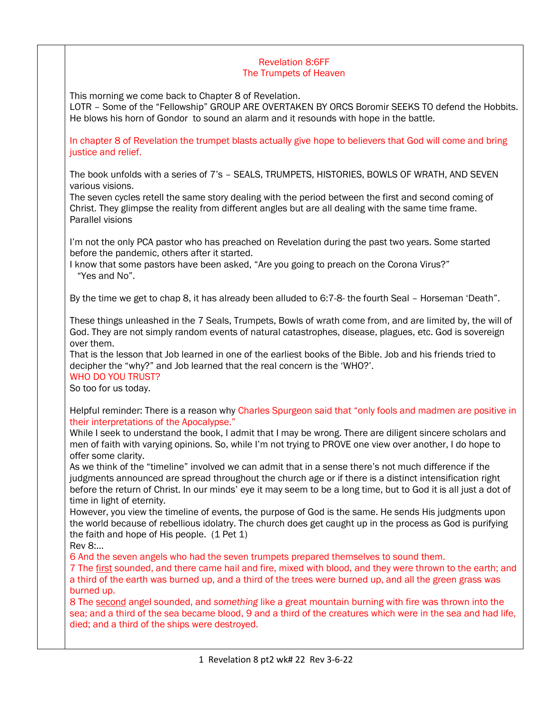## Revelation 8:6FF The Trumpets of Heaven

This morning we come back to Chapter 8 of Revelation.

LOTR – Some of the "Fellowship" GROUP ARE OVERTAKEN BY ORCS Boromir SEEKS TO defend the Hobbits. He blows his horn of Gondor to sound an alarm and it resounds with hope in the battle.

In chapter 8 of Revelation the trumpet blasts actually give hope to believers that God will come and bring justice and relief.

The book unfolds with a series of 7's – SEALS, TRUMPETS, HISTORIES, BOWLS OF WRATH, AND SEVEN various visions.

The seven cycles retell the same story dealing with the period between the first and second coming of Christ. They glimpse the reality from different angles but are all dealing with the same time frame. Parallel visions

I'm not the only PCA pastor who has preached on Revelation during the past two years. Some started before the pandemic, others after it started.

I know that some pastors have been asked, "Are you going to preach on the Corona Virus?" "Yes and No".

By the time we get to chap 8, it has already been alluded to 6:7-8- the fourth Seal – Horseman 'Death".

These things unleashed in the 7 Seals, Trumpets, Bowls of wrath come from, and are limited by, the will of God. They are not simply random events of natural catastrophes, disease, plagues, etc. God is sovereign over them.

That is the lesson that Job learned in one of the earliest books of the Bible. Job and his friends tried to decipher the "why?" and Job learned that the real concern is the 'WHO?'.

WHO DO YOU TRUST?

So too for us today.

Helpful reminder: There is a reason why Charles Spurgeon said that "only fools and madmen are positive in their interpretations of the Apocalypse."

While I seek to understand the book, I admit that I may be wrong. There are diligent sincere scholars and men of faith with varying opinions. So, while I'm not trying to PROVE one view over another, I do hope to offer some clarity.

As we think of the "timeline" involved we can admit that in a sense there's not much difference if the judgments announced are spread throughout the church age or if there is a distinct intensification right before the return of Christ. In our minds' eye it may seem to be a long time, but to God it is all just a dot of time in light of eternity.

However, you view the timeline of events, the purpose of God is the same. He sends His judgments upon the world because of rebellious idolatry. The church does get caught up in the process as God is purifying the faith and hope of His people. (1 Pet 1)

Rev 8:…

6 And the seven angels who had the seven trumpets prepared themselves to sound them.

7 The first sounded, and there came hail and fire, mixed with blood, and they were thrown to the earth; and a third of the earth was burned up, and a third of the trees were burned up, and all the green grass was burned up.

8 The second angel sounded, and *something* like a great mountain burning with fire was thrown into the sea; and a third of the sea became blood, 9 and a third of the creatures which were in the sea and had life, died; and a third of the ships were destroyed.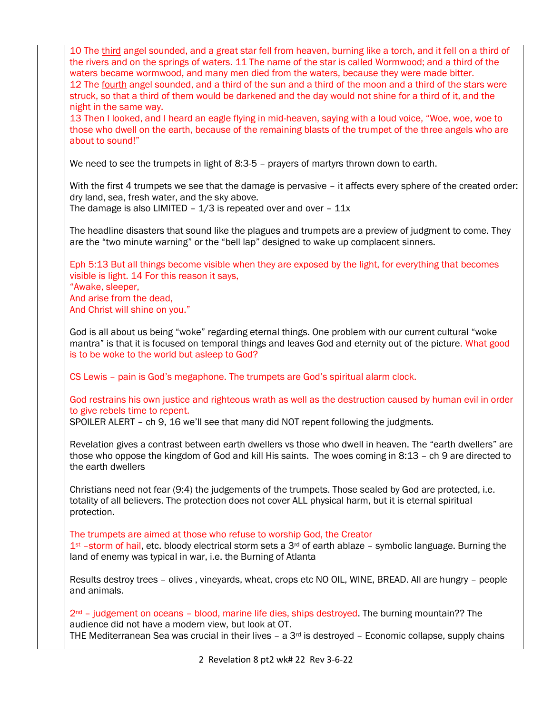10 The third angel sounded, and a great star fell from heaven, burning like a torch, and it fell on a third of the rivers and on the springs of waters. 11 The name of the star is called Wormwood; and a third of the waters became wormwood, and many men died from the waters, because they were made bitter. 12 The fourth angel sounded, and a third of the sun and a third of the moon and a third of the stars were struck, so that a third of them would be darkened and the day would not shine for a third of it, and the night in the same way. 13 Then I looked, and I heard an eagle flying in mid-heaven, saying with a loud voice, "Woe, woe, woe to those who dwell on the earth, because of the remaining blasts of the trumpet of the three angels who are about to sound!" We need to see the trumpets in light of 8:3-5 - prayers of martyrs thrown down to earth. With the first 4 trumpets we see that the damage is pervasive – it affects every sphere of the created order: dry land, sea, fresh water, and the sky above. The damage is also LIMITED  $-1/3$  is repeated over and over  $-11x$ The headline disasters that sound like the plagues and trumpets are a preview of judgment to come. They are the "two minute warning" or the "bell lap" designed to wake up complacent sinners. Eph 5:13 But all things become visible when they are exposed by the light, for everything that becomes visible is light. 14 For this reason it says, "Awake, sleeper, And arise from the dead, And Christ will shine on you." God is all about us being "woke" regarding eternal things. One problem with our current cultural "woke mantra" is that it is focused on temporal things and leaves God and eternity out of the picture. What good is to be woke to the world but asleep to God? CS Lewis – pain is God's megaphone. The trumpets are God's spiritual alarm clock. God restrains his own justice and righteous wrath as well as the destruction caused by human evil in order to give rebels time to repent. SPOILER ALERT – ch 9, 16 we'll see that many did NOT repent following the judgments. Revelation gives a contrast between earth dwellers vs those who dwell in heaven. The "earth dwellers" are those who oppose the kingdom of God and kill His saints. The woes coming in 8:13 – ch 9 are directed to the earth dwellers Christians need not fear (9:4) the judgements of the trumpets. Those sealed by God are protected, i.e. totality of all believers. The protection does not cover ALL physical harm, but it is eternal spiritual protection. The trumpets are aimed at those who refuse to worship God, the Creator 1<sup>st</sup> –storm of hail, etc. bloody electrical storm sets a 3<sup>rd</sup> of earth ablaze – symbolic language. Burning the land of enemy was typical in war, i.e. the Burning of Atlanta Results destroy trees – olives , vineyards, wheat, crops etc NO OIL, WINE, BREAD. All are hungry – people and animals. 2nd – judgement on oceans – blood, marine life dies, ships destroyed. The burning mountain?? The audience did not have a modern view, but look at OT. THE Mediterranean Sea was crucial in their lives  $-$  a  $3<sup>rd</sup>$  is destroyed  $-$  Economic collapse, supply chains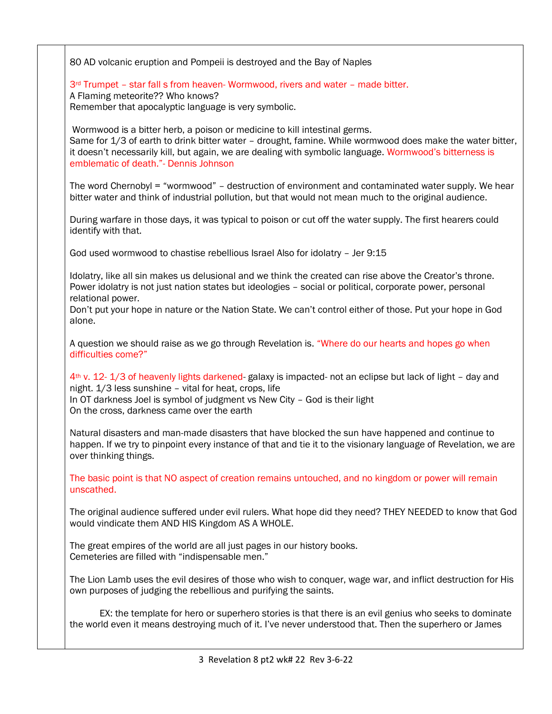80 AD volcanic eruption and Pompeii is destroyed and the Bay of Naples  $3<sup>rd</sup>$  Trumpet – star fall s from heaven- Wormwood, rivers and water – made bitter. A Flaming meteorite?? Who knows? Remember that apocalyptic language is very symbolic. Wormwood is a bitter herb, a poison or medicine to kill intestinal germs. Same for 1/3 of earth to drink bitter water – drought, famine. While wormwood does make the water bitter, it doesn't necessarily kill, but again, we are dealing with symbolic language. Wormwood's bitterness is emblematic of death."- Dennis Johnson The word Chernobyl = "wormwood" – destruction of environment and contaminated water supply. We hear bitter water and think of industrial pollution, but that would not mean much to the original audience. During warfare in those days, it was typical to poison or cut off the water supply. The first hearers could identify with that. God used wormwood to chastise rebellious Israel Also for idolatry – Jer 9:15 Idolatry, like all sin makes us delusional and we think the created can rise above the Creator's throne. Power idolatry is not just nation states but ideologies – social or political, corporate power, personal relational power. Don't put your hope in nature or the Nation State. We can't control either of those. Put your hope in God alone. A question we should raise as we go through Revelation is. "Where do our hearts and hopes go when difficulties come?" 4<sup>th</sup> v. 12- 1/3 of heavenly lights darkened- galaxy is impacted- not an eclipse but lack of light - day and night. 1/3 less sunshine – vital for heat, crops, life In OT darkness Joel is symbol of judgment vs New City – God is their light On the cross, darkness came over the earth Natural disasters and man-made disasters that have blocked the sun have happened and continue to happen. If we try to pinpoint every instance of that and tie it to the visionary language of Revelation, we are over thinking things. The basic point is that NO aspect of creation remains untouched, and no kingdom or power will remain unscathed. The original audience suffered under evil rulers. What hope did they need? THEY NEEDED to know that God would vindicate them AND HIS Kingdom AS A WHOLE. The great empires of the world are all just pages in our history books. Cemeteries are filled with "indispensable men." The Lion Lamb uses the evil desires of those who wish to conquer, wage war, and inflict destruction for His own purposes of judging the rebellious and purifying the saints. EX: the template for hero or superhero stories is that there is an evil genius who seeks to dominate the world even it means destroying much of it. I've never understood that. Then the superhero or James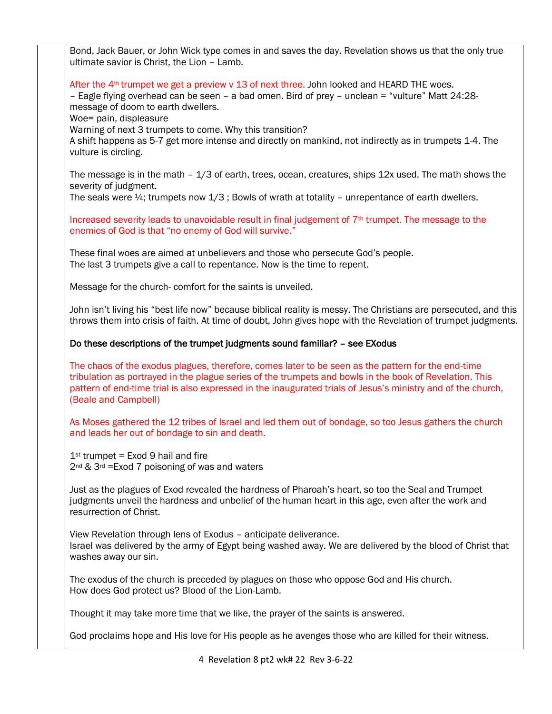| Bond, Jack Bauer, or John Wick type comes in and saves the day. Revelation shows us that the only true<br>ultimate savior is Christ, the Lion - Lamb.                                                                                                                                                                                                                                                                                   |
|-----------------------------------------------------------------------------------------------------------------------------------------------------------------------------------------------------------------------------------------------------------------------------------------------------------------------------------------------------------------------------------------------------------------------------------------|
| After the $4th$ trumpet we get a preview v 13 of next three. John looked and HEARD THE woes.<br>- Eagle flying overhead can be seen - a bad omen. Bird of prey - unclean = "vulture" Matt 24:28-<br>message of doom to earth dwellers.<br>Woe= pain, displeasure<br>Warning of next 3 trumpets to come. Why this transition?<br>A shift happens as 5-7 get more intense and directly on mankind, not indirectly as in trumpets 1-4. The |
| vulture is circling.                                                                                                                                                                                                                                                                                                                                                                                                                    |
| The message is in the math $-1/3$ of earth, trees, ocean, creatures, ships 12x used. The math shows the<br>severity of judgment.                                                                                                                                                                                                                                                                                                        |
| The seals were $\frac{1}{4}$ ; trumpets now $\frac{1}{3}$ ; Bowls of wrath at totality - unrepentance of earth dwellers.                                                                                                                                                                                                                                                                                                                |
| Increased severity leads to unavoidable result in final judgement of 7 <sup>th</sup> trumpet. The message to the<br>enemies of God is that "no enemy of God will survive."                                                                                                                                                                                                                                                              |
| These final woes are aimed at unbelievers and those who persecute God's people.<br>The last 3 trumpets give a call to repentance. Now is the time to repent.                                                                                                                                                                                                                                                                            |
| Message for the church- comfort for the saints is unveiled.                                                                                                                                                                                                                                                                                                                                                                             |
| John isn't living his "best life now" because biblical reality is messy. The Christians are persecuted, and this<br>throws them into crisis of faith. At time of doubt, John gives hope with the Revelation of trumpet judgments.                                                                                                                                                                                                       |
| Do these descriptions of the trumpet judgments sound familiar? - see EXodus                                                                                                                                                                                                                                                                                                                                                             |
| The chaos of the exodus plagues, therefore, comes later to be seen as the pattern for the end-time<br>tribulation as portrayed in the plague series of the trumpets and bowls in the book of Revelation. This<br>pattern of end-time trial is also expressed in the inaugurated trials of Jesus's ministry and of the church,<br>(Beale and Campbell)                                                                                   |
| As Moses gathered the 12 tribes of Israel and led them out of bondage, so too Jesus gathers the church<br>and leads her out of bondage to sin and death.                                                                                                                                                                                                                                                                                |
| $1st$ trumpet = Exod 9 hail and fire<br>$2^{nd}$ & $3^{rd}$ = Exod 7 poisoning of was and waters                                                                                                                                                                                                                                                                                                                                        |
| Just as the plagues of Exod revealed the hardness of Pharoah's heart, so too the Seal and Trumpet<br>judgments unveil the hardness and unbelief of the human heart in this age, even after the work and<br>resurrection of Christ.                                                                                                                                                                                                      |
| View Revelation through lens of Exodus - anticipate deliverance.<br>Israel was delivered by the army of Egypt being washed away. We are delivered by the blood of Christ that<br>washes away our sin.                                                                                                                                                                                                                                   |
| The exodus of the church is preceded by plagues on those who oppose God and His church.<br>How does God protect us? Blood of the Lion-Lamb.                                                                                                                                                                                                                                                                                             |
| Thought it may take more time that we like, the prayer of the saints is answered.                                                                                                                                                                                                                                                                                                                                                       |
| God proclaims hope and His love for His people as he avenges those who are killed for their witness.                                                                                                                                                                                                                                                                                                                                    |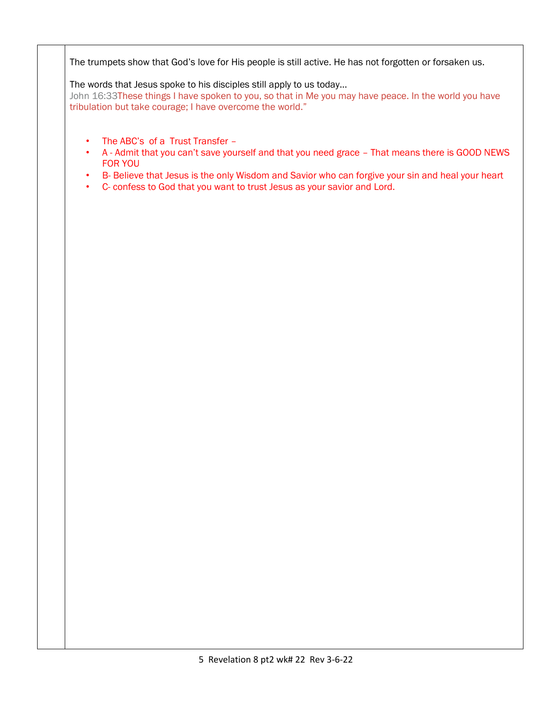The trumpets show that God's love for His people is still active. He has not forgotten or forsaken us.

The words that Jesus spoke to his disciples still apply to us today…

John 16:33These things I have spoken to you, so that in Me you may have peace. In the world you have tribulation but take courage; I have overcome the world."

- The ABC's of a Trust Transfer –
- A Admit that you can't save yourself and that you need grace That means there is GOOD NEWS FOR YOU
- B- Believe that Jesus is the only Wisdom and Savior who can forgive your sin and heal your heart
- C- confess to God that you want to trust Jesus as your savior and Lord.